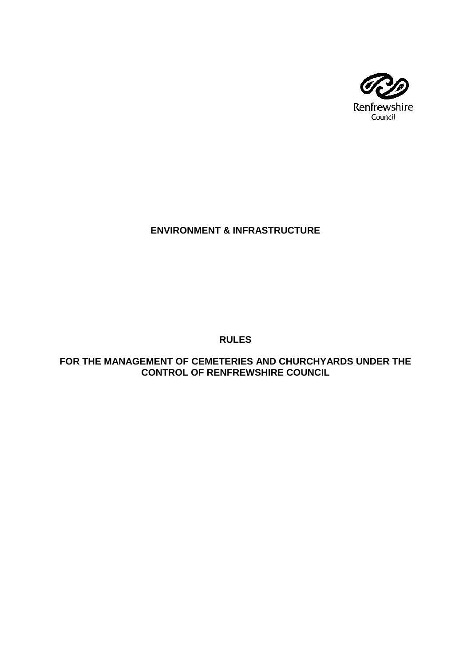

# **ENVIRONMENT & INFRASTRUCTURE**

**RULES**

**FOR THE MANAGEMENT OF CEMETERIES AND CHURCHYARDS UNDER THE CONTROL OF RENFREWSHIRE COUNCIL**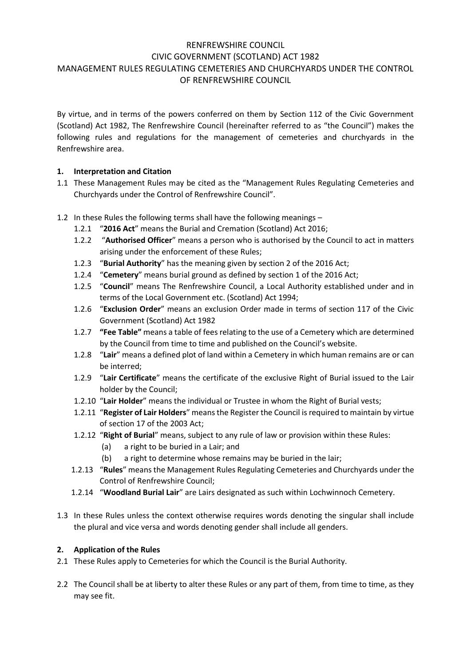## RENFREWSHIRE COUNCIL CIVIC GOVERNMENT (SCOTLAND) ACT 1982 MANAGEMENT RULES REGULATING CEMETERIES AND CHURCHYARDS UNDER THE CONTROL OF RENFREWSHIRE COUNCIL

By virtue, and in terms of the powers conferred on them by Section 112 of the Civic Government (Scotland) Act 1982, The Renfrewshire Council (hereinafter referred to as "the Council") makes the following rules and regulations for the management of cemeteries and churchyards in the Renfrewshire area.

## **1. Interpretation and Citation**

- 1.1 These Management Rules may be cited as the "Management Rules Regulating Cemeteries and Churchyards under the Control of Renfrewshire Council".
- 1.2 In these Rules the following terms shall have the following meanings
	- 1.2.1 "**2016 Act**" means the Burial and Cremation (Scotland) Act 2016;
	- 1.2.2 "**Authorised Officer**" means a person who is authorised by the Council to act in matters arising under the enforcement of these Rules;
	- 1.2.3 "**Burial Authority**" has the meaning given by section 2 of the 2016 Act;
	- 1.2.4 "**Cemetery**" means burial ground as defined by section 1 of the 2016 Act;
	- 1.2.5 "**Council**" means The Renfrewshire Council, a Local Authority established under and in terms of the Local Government etc. (Scotland) Act 1994;
	- 1.2.6 "**Exclusion Order**" means an exclusion Order made in terms of section 117 of the Civic Government (Scotland) Act 1982
	- 1.2.7 **"Fee Table"** means a table of fees relating to the use of a Cemetery which are determined by the Council from time to time and published on the Council's website.
	- 1.2.8 "**Lair**" means a defined plot of land within a Cemetery in which human remains are or can be interred;
	- 1.2.9 "**Lair Certificate**" means the certificate of the exclusive Right of Burial issued to the Lair holder by the Council;
	- 1.2.10 "**Lair Holder**" means the individual or Trustee in whom the Right of Burial vests;
	- 1.2.11 "**Register of Lair Holders**" means the Register the Council is required to maintain by virtue of section 17 of the 2003 Act;
	- 1.2.12 "**Right of Burial**" means, subject to any rule of law or provision within these Rules:
		- (a) a right to be buried in a Lair; and
		- (b) a right to determine whose remains may be buried in the lair;
	- 1.2.13 "**Rules**" means the Management Rules Regulating Cemeteries and Churchyards under the Control of Renfrewshire Council;
	- 1.2.14 "**Woodland Burial Lair**" are Lairs designated as such within Lochwinnoch Cemetery.
- 1.3 In these Rules unless the context otherwise requires words denoting the singular shall include the plural and vice versa and words denoting gender shall include all genders.

## **2. Application of the Rules**

- 2.1 These Rules apply to Cemeteries for which the Council is the Burial Authority.
- 2.2 The Council shall be at liberty to alter these Rules or any part of them, from time to time, as they may see fit.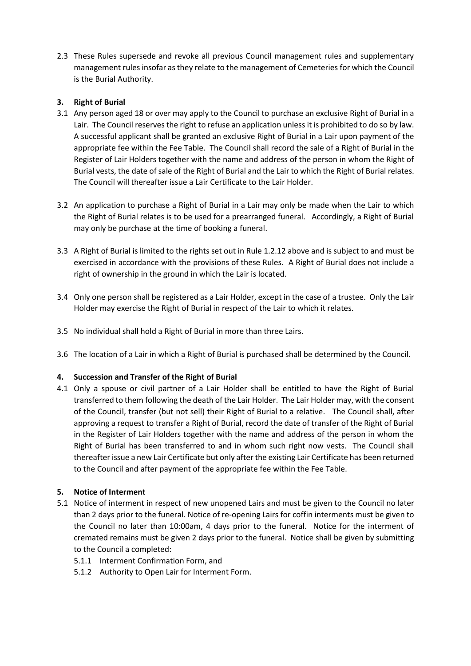2.3 These Rules supersede and revoke all previous Council management rules and supplementary management rules insofar as they relate to the management of Cemeteries for which the Council is the Burial Authority.

## **3. Right of Burial**

- 3.1 Any person aged 18 or over may apply to the Council to purchase an exclusive Right of Burial in a Lair. The Council reserves the right to refuse an application unless it is prohibited to do so by law. A successful applicant shall be granted an exclusive Right of Burial in a Lair upon payment of the appropriate fee within the Fee Table. The Council shall record the sale of a Right of Burial in the Register of Lair Holders together with the name and address of the person in whom the Right of Burial vests, the date of sale of the Right of Burial and the Lair to which the Right of Burial relates. The Council will thereafter issue a Lair Certificate to the Lair Holder.
- 3.2 An application to purchase a Right of Burial in a Lair may only be made when the Lair to which the Right of Burial relates is to be used for a prearranged funeral. Accordingly, a Right of Burial may only be purchase at the time of booking a funeral.
- 3.3 A Right of Burial is limited to the rights set out in Rule 1.2.12 above and is subject to and must be exercised in accordance with the provisions of these Rules. A Right of Burial does not include a right of ownership in the ground in which the Lair is located.
- 3.4 Only one person shall be registered as a Lair Holder, except in the case of a trustee. Only the Lair Holder may exercise the Right of Burial in respect of the Lair to which it relates.
- 3.5 No individual shall hold a Right of Burial in more than three Lairs.
- 3.6 The location of a Lair in which a Right of Burial is purchased shall be determined by the Council.

## **4. Succession and Transfer of the Right of Burial**

4.1 Only a spouse or civil partner of a Lair Holder shall be entitled to have the Right of Burial transferred to them following the death of the Lair Holder. The Lair Holder may, with the consent of the Council, transfer (but not sell) their Right of Burial to a relative. The Council shall, after approving a request to transfer a Right of Burial, record the date of transfer of the Right of Burial in the Register of Lair Holders together with the name and address of the person in whom the Right of Burial has been transferred to and in whom such right now vests. The Council shall thereafter issue a new Lair Certificate but only after the existing Lair Certificate has been returned to the Council and after payment of the appropriate fee within the Fee Table.

## **5. Notice of Interment**

- <span id="page-2-0"></span>5.1 Notice of interment in respect of new unopened Lairs and must be given to the Council no later than 2 days prior to the funeral. Notice of re-opening Lairs for coffin interments must be given to the Council no later than 10:00am, 4 days prior to the funeral. Notice for the interment of cremated remains must be given 2 days prior to the funeral. Notice shall be given by submitting to the Council a completed:
	- 5.1.1 Interment Confirmation Form, and
	- 5.1.2 Authority to Open Lair for Interment Form.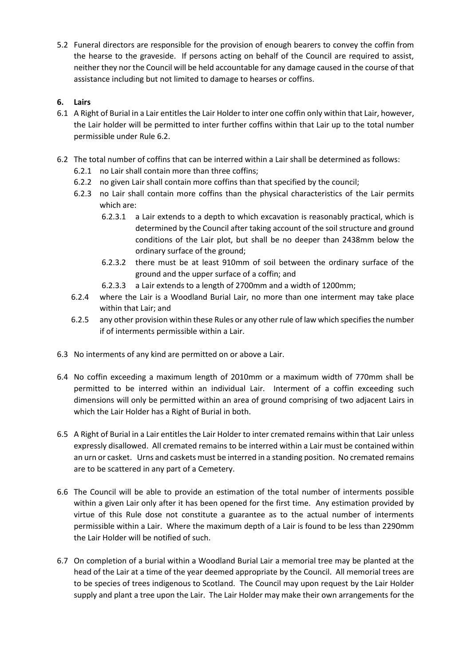5.2 Funeral directors are responsible for the provision of enough bearers to convey the coffin from the hearse to the graveside. If persons acting on behalf of the Council are required to assist, neither they nor the Council will be held accountable for any damage caused in the course of that assistance including but not limited to damage to hearses or coffins.

## **6. Lairs**

- 6.1 A Right of Burial in a Lair entitles the Lair Holder to inter one coffin only within that Lair, however, the Lair holder will be permitted to inter further coffins within that Lair up to the total number permissible under Rule [6.2.](#page-3-0)
- <span id="page-3-0"></span>6.2 The total number of coffins that can be interred within a Lair shall be determined as follows:
	- 6.2.1 no Lair shall contain more than three coffins;
	- 6.2.2 no given Lair shall contain more coffins than that specified by the council;
	- 6.2.3 no Lair shall contain more coffins than the physical characteristics of the Lair permits which are:
		- 6.2.3.1 a Lair extends to a depth to which excavation is reasonably practical, which is determined by the Council after taking account of the soil structure and ground conditions of the Lair plot, but shall be no deeper than 2438mm below the ordinary surface of the ground;
		- 6.2.3.2 there must be at least 910mm of soil between the ordinary surface of the ground and the upper surface of a coffin; and
		- 6.2.3.3 a Lair extends to a length of 2700mm and a width of 1200mm;
	- 6.2.4 where the Lair is a Woodland Burial Lair, no more than one interment may take place within that Lair; and
	- 6.2.5 any other provision within these Rules or any other rule of law which specifiesthe number if of interments permissible within a Lair.
- 6.3 No interments of any kind are permitted on or above a Lair.
- 6.4 No coffin exceeding a maximum length of 2010mm or a maximum width of 770mm shall be permitted to be interred within an individual Lair. Interment of a coffin exceeding such dimensions will only be permitted within an area of ground comprising of two adjacent Lairs in which the Lair Holder has a Right of Burial in both.
- 6.5 A Right of Burial in a Lair entitles the Lair Holder to inter cremated remains within that Lair unless expressly disallowed. All cremated remains to be interred within a Lair must be contained within an urn or casket. Urns and caskets must be interred in a standing position. No cremated remains are to be scattered in any part of a Cemetery.
- 6.6 The Council will be able to provide an estimation of the total number of interments possible within a given Lair only after it has been opened for the first time. Any estimation provided by virtue of this Rule dose not constitute a guarantee as to the actual number of interments permissible within a Lair. Where the maximum depth of a Lair is found to be less than 2290mm the Lair Holder will be notified of such.
- 6.7 On completion of a burial within a Woodland Burial Lair a memorial tree may be planted at the head of the Lair at a time of the year deemed appropriate by the Council. All memorial trees are to be species of trees indigenous to Scotland. The Council may upon request by the Lair Holder supply and plant a tree upon the Lair. The Lair Holder may make their own arrangements for the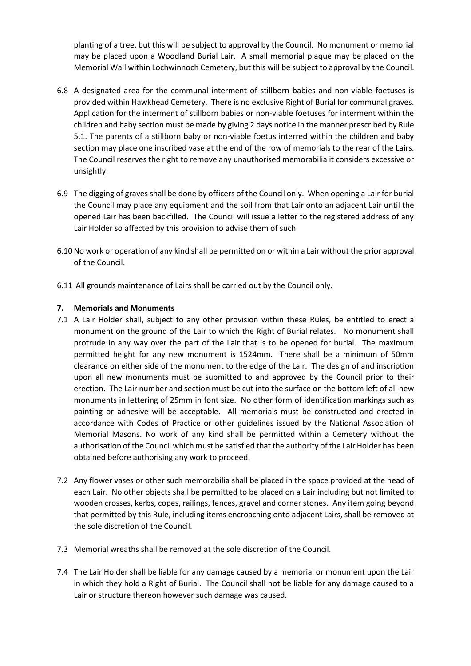planting of a tree, but this will be subject to approval by the Council. No monument or memorial may be placed upon a Woodland Burial Lair. A small memorial plaque may be placed on the Memorial Wall within Lochwinnoch Cemetery, but this will be subject to approval by the Council.

- 6.8 A designated area for the communal interment of stillborn babies and non-viable foetuses is provided within Hawkhead Cemetery. There is no exclusive Right of Burial for communal graves. Application for the interment of stillborn babies or non-viable foetuses for interment within the children and baby section must be made by giving 2 days notice in the manner prescribed by Rule [5.1.](#page-2-0) The parents of a stillborn baby or non-viable foetus interred within the children and baby section may place one inscribed vase at the end of the row of memorials to the rear of the Lairs. The Council reserves the right to remove any unauthorised memorabilia it considers excessive or unsightly.
- 6.9 The digging of graves shall be done by officers of the Council only. When opening a Lair for burial the Council may place any equipment and the soil from that Lair onto an adjacent Lair until the opened Lair has been backfilled. The Council will issue a letter to the registered address of any Lair Holder so affected by this provision to advise them of such.
- 6.10No work or operation of any kind shall be permitted on or within a Lair without the prior approval of the Council.
- 6.11 All grounds maintenance of Lairs shall be carried out by the Council only.

#### **7. Memorials and Monuments**

- 7.1 A Lair Holder shall, subject to any other provision within these Rules, be entitled to erect a monument on the ground of the Lair to which the Right of Burial relates. No monument shall protrude in any way over the part of the Lair that is to be opened for burial. The maximum permitted height for any new monument is 1524mm. There shall be a minimum of 50mm clearance on either side of the monument to the edge of the Lair. The design of and inscription upon all new monuments must be submitted to and approved by the Council prior to their erection. The Lair number and section must be cut into the surface on the bottom left of all new monuments in lettering of 25mm in font size. No other form of identification markings such as painting or adhesive will be acceptable. All memorials must be constructed and erected in accordance with Codes of Practice or other guidelines issued by the National Association of Memorial Masons. No work of any kind shall be permitted within a Cemetery without the authorisation of the Council which must be satisfied that the authority of the Lair Holder has been obtained before authorising any work to proceed.
- 7.2 Any flower vases or other such memorabilia shall be placed in the space provided at the head of each Lair. No other objects shall be permitted to be placed on a Lair including but not limited to wooden crosses, kerbs, copes, railings, fences, gravel and corner stones. Any item going beyond that permitted by this Rule, including items encroaching onto adjacent Lairs, shall be removed at the sole discretion of the Council.
- 7.3 Memorial wreaths shall be removed at the sole discretion of the Council.
- 7.4 The Lair Holder shall be liable for any damage caused by a memorial or monument upon the Lair in which they hold a Right of Burial. The Council shall not be liable for any damage caused to a Lair or structure thereon however such damage was caused.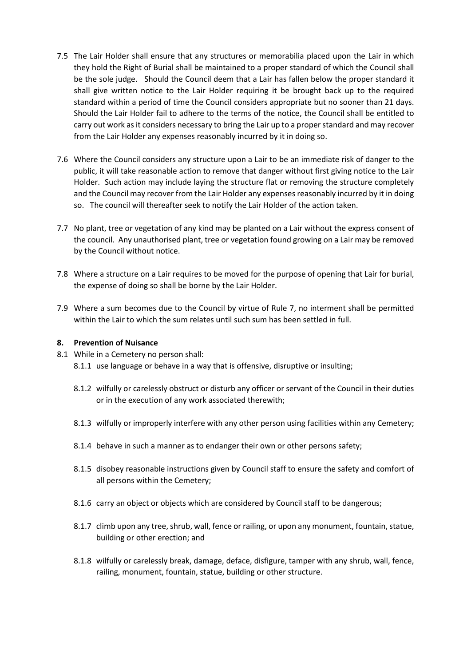- 7.5 The Lair Holder shall ensure that any structures or memorabilia placed upon the Lair in which they hold the Right of Burial shall be maintained to a proper standard of which the Council shall be the sole judge. Should the Council deem that a Lair has fallen below the proper standard it shall give written notice to the Lair Holder requiring it be brought back up to the required standard within a period of time the Council considers appropriate but no sooner than 21 days. Should the Lair Holder fail to adhere to the terms of the notice, the Council shall be entitled to carry out work as it considers necessary to bring the Lair up to a proper standard and may recover from the Lair Holder any expenses reasonably incurred by it in doing so.
- 7.6 Where the Council considers any structure upon a Lair to be an immediate risk of danger to the public, it will take reasonable action to remove that danger without first giving notice to the Lair Holder. Such action may include laying the structure flat or removing the structure completely and the Council may recover from the Lair Holder any expenses reasonably incurred by it in doing so. The council will thereafter seek to notify the Lair Holder of the action taken.
- 7.7 No plant, tree or vegetation of any kind may be planted on a Lair without the express consent of the council. Any unauthorised plant, tree or vegetation found growing on a Lair may be removed by the Council without notice.
- 7.8 Where a structure on a Lair requires to be moved for the purpose of opening that Lair for burial, the expense of doing so shall be borne by the Lair Holder.
- 7.9 Where a sum becomes due to the Council by virtue of Rule 7, no interment shall be permitted within the Lair to which the sum relates until such sum has been settled in full.

#### **8. Prevention of Nuisance**

- 8.1 While in a Cemetery no person shall: 8.1.1 use language or behave in a way that is offensive, disruptive or insulting;
	- 8.1.2 wilfully or carelessly obstruct or disturb any officer or servant of the Council in their duties or in the execution of any work associated therewith;
	- 8.1.3 wilfully or improperly interfere with any other person using facilities within any Cemetery;
	- 8.1.4 behave in such a manner as to endanger their own or other persons safety;
	- 8.1.5 disobey reasonable instructions given by Council staff to ensure the safety and comfort of all persons within the Cemetery;
	- 8.1.6 carry an object or objects which are considered by Council staff to be dangerous;
	- 8.1.7 climb upon any tree, shrub, wall, fence or railing, or upon any monument, fountain, statue, building or other erection; and
	- 8.1.8 wilfully or carelessly break, damage, deface, disfigure, tamper with any shrub, wall, fence, railing, monument, fountain, statue, building or other structure.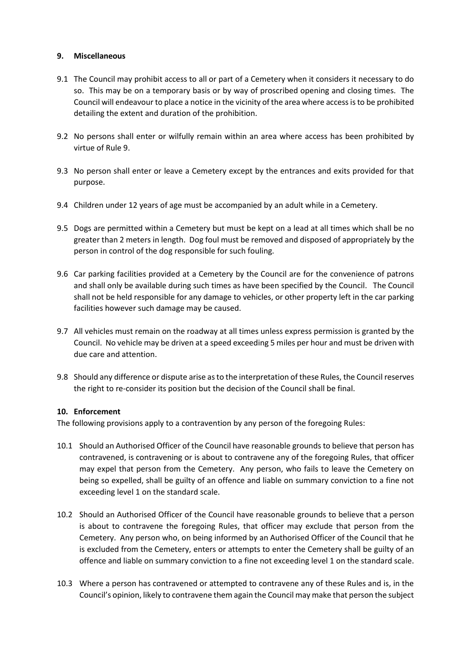#### <span id="page-6-0"></span>**9. Miscellaneous**

- 9.1 The Council may prohibit access to all or part of a Cemetery when it considers it necessary to do so. This may be on a temporary basis or by way of proscribed opening and closing times. The Council will endeavour to place a notice in the vicinity of the area where access is to be prohibited detailing the extent and duration of the prohibition.
- 9.2 No persons shall enter or wilfully remain within an area where access has been prohibited by virtue of Rule [9.](#page-6-0)
- 9.3 No person shall enter or leave a Cemetery except by the entrances and exits provided for that purpose.
- 9.4 Children under 12 years of age must be accompanied by an adult while in a Cemetery.
- 9.5 Dogs are permitted within a Cemetery but must be kept on a lead at all times which shall be no greater than 2 meters in length. Dog foul must be removed and disposed of appropriately by the person in control of the dog responsible for such fouling.
- 9.6 Car parking facilities provided at a Cemetery by the Council are for the convenience of patrons and shall only be available during such times as have been specified by the Council. The Council shall not be held responsible for any damage to vehicles, or other property left in the car parking facilities however such damage may be caused.
- 9.7 All vehicles must remain on the roadway at all times unless express permission is granted by the Council. No vehicle may be driven at a speed exceeding 5 miles per hour and must be driven with due care and attention.
- 9.8 Should any difference or dispute arise as to the interpretation of these Rules, the Council reserves the right to re-consider its position but the decision of the Council shall be final.

#### **10. Enforcement**

The following provisions apply to a contravention by any person of the foregoing Rules:

- 10.1 Should an Authorised Officer of the Council have reasonable grounds to believe that person has contravened, is contravening or is about to contravene any of the foregoing Rules, that officer may expel that person from the Cemetery. Any person, who fails to leave the Cemetery on being so expelled, shall be guilty of an offence and liable on summary conviction to a fine not exceeding level 1 on the standard scale.
- 10.2 Should an Authorised Officer of the Council have reasonable grounds to believe that a person is about to contravene the foregoing Rules, that officer may exclude that person from the Cemetery. Any person who, on being informed by an Authorised Officer of the Council that he is excluded from the Cemetery, enters or attempts to enter the Cemetery shall be guilty of an offence and liable on summary conviction to a fine not exceeding level 1 on the standard scale.
- 10.3 Where a person has contravened or attempted to contravene any of these Rules and is, in the Council's opinion, likely to contravene them again the Council may make that person the subject